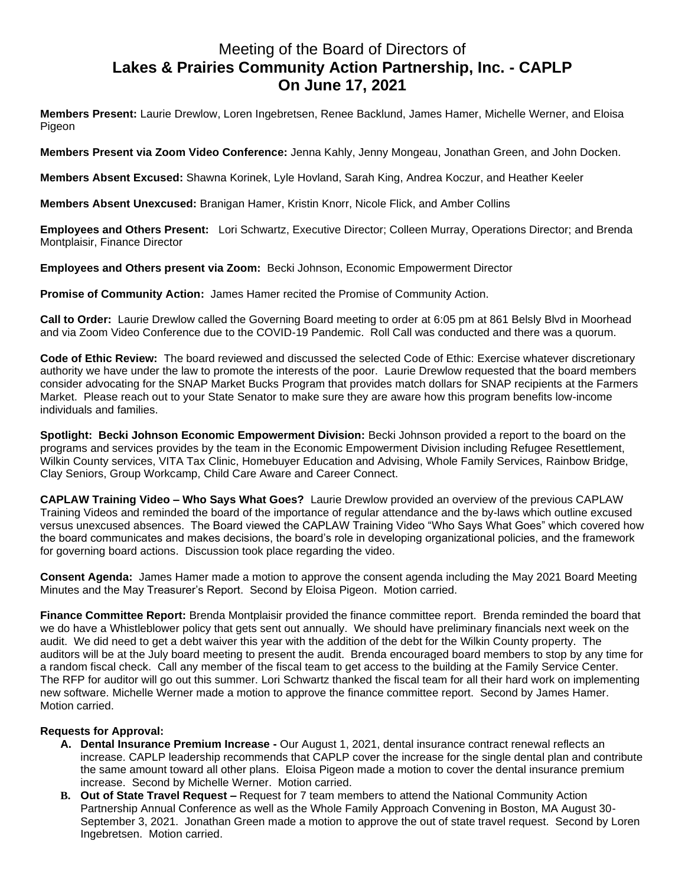## Meeting of the Board of Directors of **Lakes & Prairies Community Action Partnership, Inc. - CAPLP On June 17, 2021**

**Members Present:** Laurie Drewlow, Loren Ingebretsen, Renee Backlund, James Hamer, Michelle Werner, and Eloisa Pigeon

**Members Present via Zoom Video Conference:** Jenna Kahly, Jenny Mongeau, Jonathan Green, and John Docken.

**Members Absent Excused:** Shawna Korinek, Lyle Hovland, Sarah King, Andrea Koczur, and Heather Keeler

**Members Absent Unexcused:** Branigan Hamer, Kristin Knorr, Nicole Flick, and Amber Collins

**Employees and Others Present:** Lori Schwartz, Executive Director; Colleen Murray, Operations Director; and Brenda Montplaisir, Finance Director

**Employees and Others present via Zoom:** Becki Johnson, Economic Empowerment Director

**Promise of Community Action:** James Hamer recited the Promise of Community Action.

**Call to Order:** Laurie Drewlow called the Governing Board meeting to order at 6:05 pm at 861 Belsly Blvd in Moorhead and via Zoom Video Conference due to the COVID-19 Pandemic. Roll Call was conducted and there was a quorum.

**Code of Ethic Review:** The board reviewed and discussed the selected Code of Ethic: Exercise whatever discretionary authority we have under the law to promote the interests of the poor. Laurie Drewlow requested that the board members consider advocating for the SNAP Market Bucks Program that provides match dollars for SNAP recipients at the Farmers Market. Please reach out to your State Senator to make sure they are aware how this program benefits low-income individuals and families.

**Spotlight: Becki Johnson Economic Empowerment Division:** Becki Johnson provided a report to the board on the programs and services provides by the team in the Economic Empowerment Division including Refugee Resettlement, Wilkin County services, VITA Tax Clinic, Homebuyer Education and Advising, Whole Family Services, Rainbow Bridge, Clay Seniors, Group Workcamp, Child Care Aware and Career Connect.

**CAPLAW Training Video – Who Says What Goes?** Laurie Drewlow provided an overview of the previous CAPLAW Training Videos and reminded the board of the importance of regular attendance and the by-laws which outline excused versus unexcused absences. The Board viewed the CAPLAW Training Video "Who Says What Goes" which covered how the board communicates and makes decisions, the board's role in developing organizational policies, and the framework for governing board actions. Discussion took place regarding the video.

**Consent Agenda:** James Hamer made a motion to approve the consent agenda including the May 2021 Board Meeting Minutes and the May Treasurer's Report. Second by Eloisa Pigeon. Motion carried.

**Finance Committee Report:** Brenda Montplaisir provided the finance committee report. Brenda reminded the board that we do have a Whistleblower policy that gets sent out annually. We should have preliminary financials next week on the audit. We did need to get a debt waiver this year with the addition of the debt for the Wilkin County property. The auditors will be at the July board meeting to present the audit. Brenda encouraged board members to stop by any time for a random fiscal check. Call any member of the fiscal team to get access to the building at the Family Service Center. The RFP for auditor will go out this summer. Lori Schwartz thanked the fiscal team for all their hard work on implementing new software. Michelle Werner made a motion to approve the finance committee report. Second by James Hamer. Motion carried.

## **Requests for Approval:**

- **A. Dental Insurance Premium Increase -** Our August 1, 2021, dental insurance contract renewal reflects an increase. CAPLP leadership recommends that CAPLP cover the increase for the single dental plan and contribute the same amount toward all other plans. Eloisa Pigeon made a motion to cover the dental insurance premium increase. Second by Michelle Werner. Motion carried.
- **B. Out of State Travel Request –** Request for 7 team members to attend the National Community Action Partnership Annual Conference as well as the Whole Family Approach Convening in Boston, MA August 30- September 3, 2021. Jonathan Green made a motion to approve the out of state travel request. Second by Loren Ingebretsen. Motion carried.